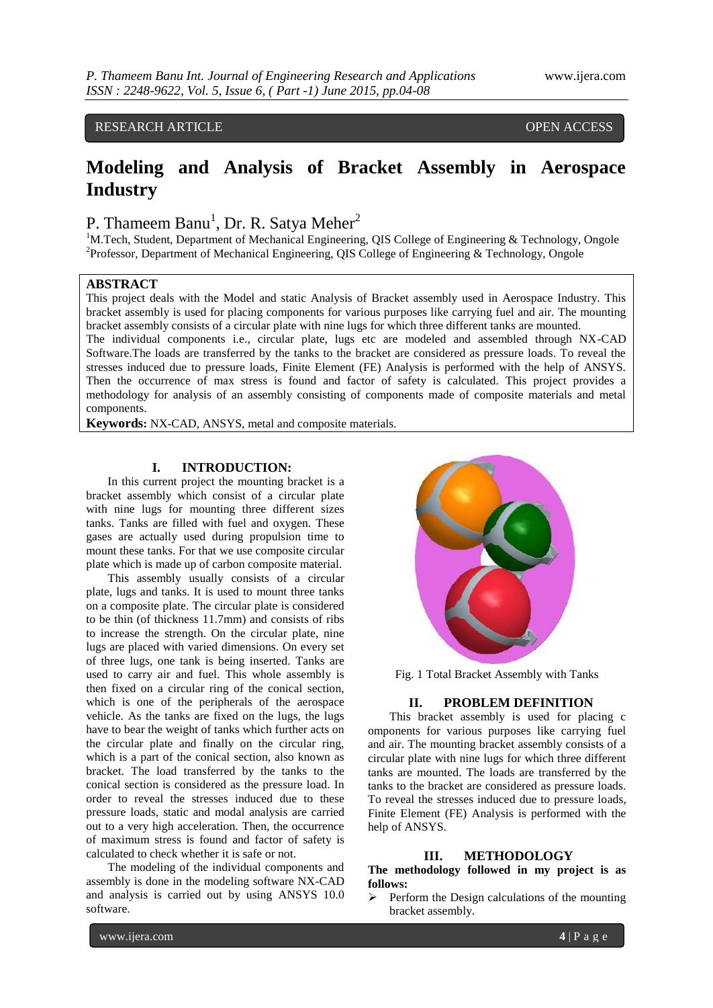# RESEARCH ARTICLE **CONSERVERS** OPEN ACCESS

# **Modeling and Analysis of Bracket Assembly in Aerospace Industry**

# P. Thameem Banu<sup>1</sup>, Dr. R. Satya Meher<sup>2</sup>

 $1$ M.Tech, Student, Department of Mechanical Engineering, QIS College of Engineering & Technology, Ongole <sup>2</sup>Professor, Department of Mechanical Engineering, QIS College of Engineering & Technology, Ongole

# **ABSTRACT**

This project deals with the Model and static Analysis of Bracket assembly used in Aerospace Industry. This bracket assembly is used for placing components for various purposes like carrying fuel and air. The mounting bracket assembly consists of a circular plate with nine lugs for which three different tanks are mounted.

The individual components i.e., circular plate, lugs etc are modeled and assembled through NX-CAD Software.The loads are transferred by the tanks to the bracket are considered as pressure loads. To reveal the stresses induced due to pressure loads, Finite Element (FE) Analysis is performed with the help of ANSYS. Then the occurrence of max stress is found and factor of safety is calculated. This project provides a methodology for analysis of an assembly consisting of components made of composite materials and metal components.

**Keywords:** NX-CAD, ANSYS, metal and composite materials.

# **I. INTRODUCTION:**

In this current project the mounting bracket is a bracket assembly which consist of a circular plate with nine lugs for mounting three different sizes tanks. Tanks are filled with fuel and oxygen. These gases are actually used during propulsion time to mount these tanks. For that we use composite circular plate which is made up of carbon composite material.

This assembly usually consists of a circular plate, lugs and tanks. It is used to mount three tanks on a composite plate. The circular plate is considered to be thin (of thickness 11.7mm) and consists of ribs to increase the strength. On the circular plate, nine lugs are placed with varied dimensions. On every set of three lugs, one tank is being inserted. Tanks are used to carry air and fuel. This whole assembly is then fixed on a circular ring of the conical section, which is one of the peripherals of the aerospace vehicle. As the tanks are fixed on the lugs, the lugs have to bear the weight of tanks which further acts on the circular plate and finally on the circular ring, which is a part of the conical section, also known as bracket. The load transferred by the tanks to the conical section is considered as the pressure load. In order to reveal the stresses induced due to these pressure loads, static and modal analysis are carried out to a very high acceleration. Then, the occurrence of maximum stress is found and factor of safety is calculated to check whether it is safe or not.

The modeling of the individual components and assembly is done in the modeling software NX-CAD and analysis is carried out by using ANSYS 10.0 software.



Fig. 1 Total Bracket Assembly with Tanks

# **II. PROBLEM DEFINITION**

This bracket assembly is used for placing c omponents for various purposes like carrying fuel and air. The mounting bracket assembly consists of a circular plate with nine lugs for which three different tanks are mounted. The loads are transferred by the tanks to the bracket are considered as pressure loads. To reveal the stresses induced due to pressure loads, Finite Element (FE) Analysis is performed with the help of ANSYS.

#### **III. METHODOLOGY**

**The methodology followed in my project is as follows:**

 $\triangleright$  Perform the Design calculations of the mounting bracket assembly.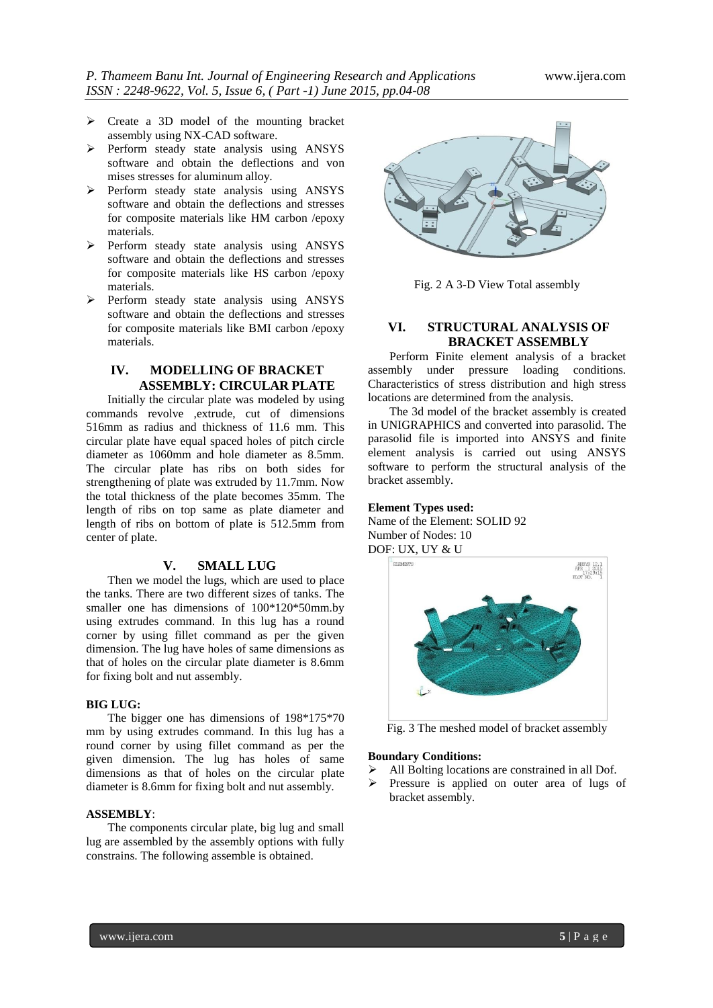- $\triangleright$  Create a 3D model of the mounting bracket assembly using NX-CAD software.
- Perform steady state analysis using ANSYS software and obtain the deflections and von mises stresses for aluminum alloy.
- $\triangleright$  Perform steady state analysis using ANSYS software and obtain the deflections and stresses for composite materials like HM carbon /epoxy materials.
- $\triangleright$  Perform steady state analysis using ANSYS software and obtain the deflections and stresses for composite materials like HS carbon /epoxy materials.
- Perform steady state analysis using ANSYS software and obtain the deflections and stresses for composite materials like BMI carbon /epoxy materials.

## **IV. MODELLING OF BRACKET ASSEMBLY: CIRCULAR PLATE**

Initially the circular plate was modeled by using commands revolve ,extrude, cut of dimensions 516mm as radius and thickness of 11.6 mm. This circular plate have equal spaced holes of pitch circle diameter as 1060mm and hole diameter as 8.5mm. The circular plate has ribs on both sides for strengthening of plate was extruded by 11.7mm. Now the total thickness of the plate becomes 35mm. The length of ribs on top same as plate diameter and length of ribs on bottom of plate is 512.5mm from center of plate.

### **V. SMALL LUG**

Then we model the lugs, which are used to place the tanks. There are two different sizes of tanks. The smaller one has dimensions of 100\*120\*50mm.by using extrudes command. In this lug has a round corner by using fillet command as per the given dimension. The lug have holes of same dimensions as that of holes on the circular plate diameter is 8.6mm for fixing bolt and nut assembly.

#### **BIG LUG:**

The bigger one has dimensions of 198\*175\*70 mm by using extrudes command. In this lug has a round corner by using fillet command as per the given dimension. The lug has holes of same dimensions as that of holes on the circular plate diameter is 8.6mm for fixing bolt and nut assembly.

#### **ASSEMBLY**:

The components circular plate, big lug and small lug are assembled by the assembly options with fully constrains. The following assemble is obtained.



Fig. 2 A 3-D View Total assembly

# **VI. STRUCTURAL ANALYSIS OF BRACKET ASSEMBLY**

Perform Finite element analysis of a bracket assembly under pressure loading conditions. Characteristics of stress distribution and high stress locations are determined from the analysis.

The 3d model of the bracket assembly is created in UNIGRAPHICS and converted into parasolid. The parasolid file is imported into ANSYS and finite element analysis is carried out using ANSYS software to perform the structural analysis of the bracket assembly.

#### **Element Types used:**

Name of the Element: SOLID 92 Number of Nodes: 10 DOF: UX, UY & U



Fig. 3 The meshed model of bracket assembly

## **Boundary Conditions:**

- All Bolting locations are constrained in all Dof.
- Pressure is applied on outer area of lugs of bracket assembly.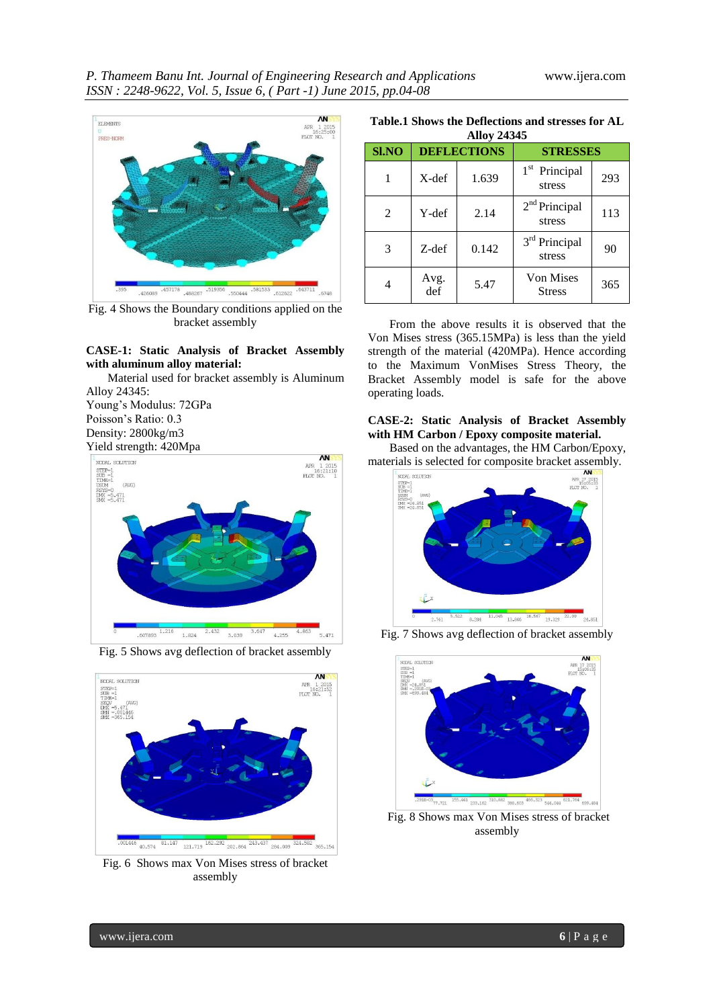

Fig. 4 Shows the Boundary conditions applied on the bracket assembly

## **CASE-1: Static Analysis of Bracket Assembly with aluminum alloy material:**

Material used for bracket assembly is Aluminum Alloy 24345:

Young's Modulus: 72GPa Poisson's Ratio: 0.3 Density: 2800kg/m3 Yield strength: 420Mpa



Fig. 5 Shows avg deflection of bracket assembly



Fig. 6 Shows max Von Mises stress of bracket assembly

**Table.1 Shows the Deflections and stresses for AL Alloy 24345**

| Allov 24345    |                    |       |                                     |     |  |  |
|----------------|--------------------|-------|-------------------------------------|-----|--|--|
| <b>SI.NO</b>   | <b>DEFLECTIONS</b> |       | <b>STRESSES</b>                     |     |  |  |
|                | $X-def$            | 1.639 | 1 <sup>st</sup> Principal<br>stress | 293 |  |  |
| $\overline{c}$ | Y-def              | 2.14  | 2 <sup>nd</sup> Principal<br>stress | 113 |  |  |
| 3              | Z-def              | 0.142 | 3 <sup>rd</sup> Principal<br>stress | 90  |  |  |
| 4              | Avg.<br>def        | 5.47  | <b>Von Mises</b><br><b>Stress</b>   | 365 |  |  |

From the above results it is observed that the Von Mises stress (365.15MPa) is less than the yield strength of the material (420MPa). Hence according to the Maximum VonMises Stress Theory, the Bracket Assembly model is safe for the above operating loads.

## **CASE-2: Static Analysis of Bracket Assembly with HM Carbon / Epoxy composite material.**

Based on the advantages, the HM Carbon/Epoxy, materials is selected for composite bracket assembly.



Fig. 7 Shows avg deflection of bracket assembly



Fig. 8 Shows max Von Mises stress of bracket assembly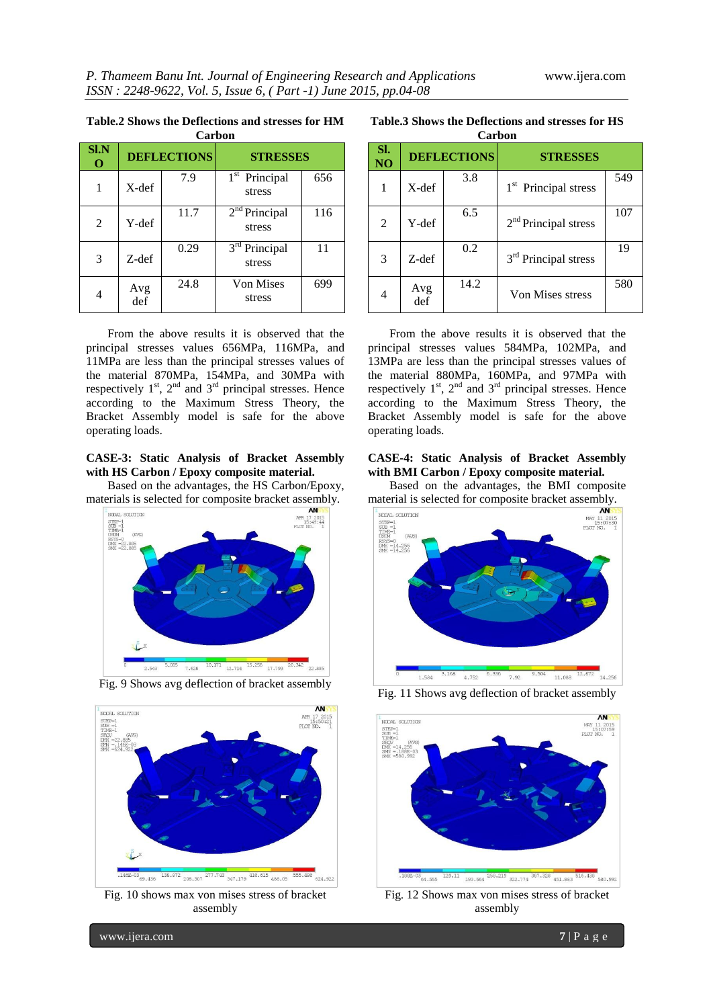**Table.2 Shows the Deflections and stresses for HM Carbon**

| vai vvii         |                    |      |                            |     |  |
|------------------|--------------------|------|----------------------------|-----|--|
| S <sub>1</sub> N | <b>DEFLECTIONS</b> |      | <b>STRESSES</b>            |     |  |
|                  | X-def              | 7.9  | $1st$ Principal<br>stress  | 656 |  |
| 2                | Y-def              | 11.7 | $2nd$ Principal<br>stress  | 116 |  |
| 3                | Z-def              | 0.29 | $3rd$ Principal<br>stress  | 11  |  |
|                  | Avg<br>def         | 24.8 | <b>Von Mises</b><br>stress | 699 |  |

From the above results it is observed that the principal stresses values 656MPa, 116MPa, and 11MPa are less than the principal stresses values of the material 870MPa, 154MPa, and 30MPa with respectively  $1^{st}$ ,  $2^{nd}$  and  $3^{rd}$  principal stresses. Hence according to the Maximum Stress Theory, the Bracket Assembly model is safe for the above operating loads.

#### **CASE-3: Static Analysis of Bracket Assembly with HS Carbon / Epoxy composite material.**

Based on the advantages, the HS Carbon/Epoxy, materials is selected for composite bracket assembly.







Fig. 10 shows max von mises stress of bracket assembly

**Table.3 Shows the Deflections and stresses for HS Carbon**

| Vai vui   |                    |      |                                  |     |  |  |
|-----------|--------------------|------|----------------------------------|-----|--|--|
| SI.<br>NO | <b>DEFLECTIONS</b> |      | <b>STRESSES</b>                  |     |  |  |
|           | X-def              | 3.8  | 1 <sup>st</sup> Principal stress | 549 |  |  |
| 2         | Y-def              | 6.5  | 2 <sup>nd</sup> Principal stress | 107 |  |  |
| 3         | Z-def              | 0.2  | 3 <sup>rd</sup> Principal stress | 19  |  |  |
| 4         | Avg<br>def         | 14.2 | Von Mises stress                 | 580 |  |  |

From the above results it is observed that the principal stresses values 584MPa, 102MPa, and 13MPa are less than the principal stresses values of the material 880MPa, 160MPa, and 97MPa with respectively  $1^{st}$ ,  $2^{nd}$  and  $3^{rd}$  principal stresses. Hence according to the Maximum Stress Theory, the Bracket Assembly model is safe for the above operating loads.

#### **CASE-4: Static Analysis of Bracket Assembly with BMI Carbon / Epoxy composite material.**

Based on the advantages, the BMI composite material is selected for composite bracket assembly.



Fig. 11 Shows avg deflection of bracket assembly



Fig. 12 Shows max von mises stress of bracket assembly

www.ijera.com **7** | P a g e